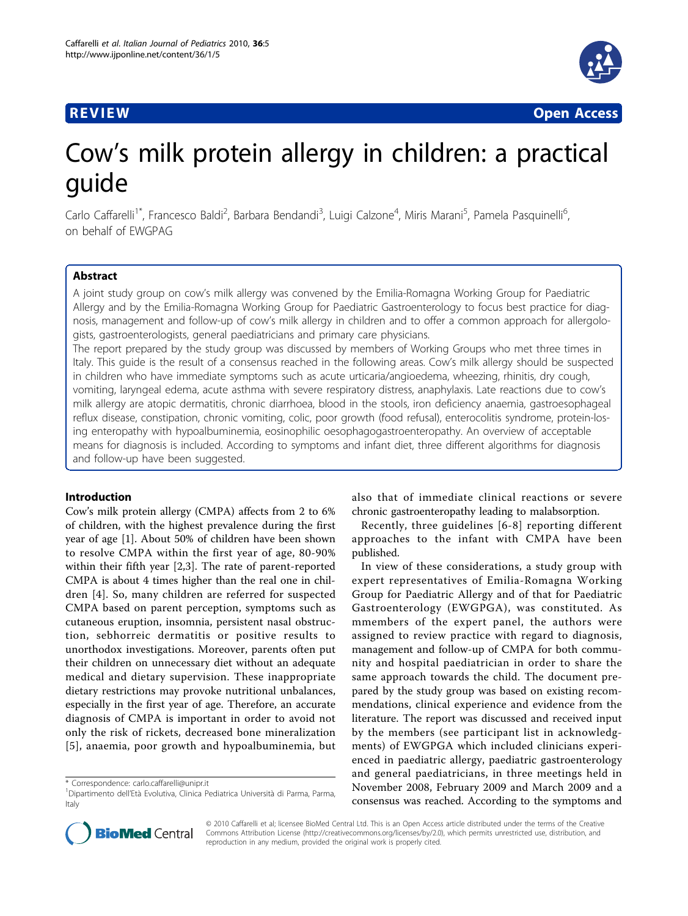## **REVIEW CONSTRUCTION CONSTRUCTION CONSTRUCTS**



# Cow's milk protein allergy in children: a practical guide

Carlo Caffarelli<sup>1\*</sup>, Francesco Baldi<sup>2</sup>, Barbara Bendandi<sup>3</sup>, Luigi Calzone<sup>4</sup>, Miris Marani<sup>5</sup>, Pamela Pasquinelli<sup>6</sup> י<br>, on behalf of EWGPAG

## Abstract

A joint study group on cow's milk allergy was convened by the Emilia-Romagna Working Group for Paediatric Allergy and by the Emilia-Romagna Working Group for Paediatric Gastroenterology to focus best practice for diagnosis, management and follow-up of cow's milk allergy in children and to offer a common approach for allergologists, gastroenterologists, general paediatricians and primary care physicians.

The report prepared by the study group was discussed by members of Working Groups who met three times in Italy. This guide is the result of a consensus reached in the following areas. Cow's milk allergy should be suspected in children who have immediate symptoms such as acute urticaria/angioedema, wheezing, rhinitis, dry cough, vomiting, laryngeal edema, acute asthma with severe respiratory distress, anaphylaxis. Late reactions due to cow's milk allergy are atopic dermatitis, chronic diarrhoea, blood in the stools, iron deficiency anaemia, gastroesophageal reflux disease, constipation, chronic vomiting, colic, poor growth (food refusal), enterocolitis syndrome, protein-losing enteropathy with hypoalbuminemia, eosinophilic oesophagogastroenteropathy. An overview of acceptable means for diagnosis is included. According to symptoms and infant diet, three different algorithms for diagnosis and follow-up have been suggested.

## Introduction

Cow's milk protein allergy (CMPA) affects from 2 to 6% of children, with the highest prevalence during the first year of age [\[1](#page-5-0)]. About 50% of children have been shown to resolve CMPA within the first year of age, 80-90% within their fifth year [\[2](#page-5-0),[3\]](#page-5-0). The rate of parent-reported CMPA is about 4 times higher than the real one in children [[4](#page-5-0)]. So, many children are referred for suspected CMPA based on parent perception, symptoms such as cutaneous eruption, insomnia, persistent nasal obstruction, sebhorreic dermatitis or positive results to unorthodox investigations. Moreover, parents often put their children on unnecessary diet without an adequate medical and dietary supervision. These inappropriate dietary restrictions may provoke nutritional unbalances, especially in the first year of age. Therefore, an accurate diagnosis of CMPA is important in order to avoid not only the risk of rickets, decreased bone mineralization [[5](#page-5-0)], anaemia, poor growth and hypoalbuminemia, but

also that of immediate clinical reactions or severe chronic gastroenteropathy leading to malabsorption.

Recently, three guidelines [[6-8](#page-5-0)] reporting different approaches to the infant with CMPA have been published.

In view of these considerations, a study group with expert representatives of Emilia-Romagna Working Group for Paediatric Allergy and of that for Paediatric Gastroenterology (EWGPGA), was constituted. As mmembers of the expert panel, the authors were assigned to review practice with regard to diagnosis, management and follow-up of CMPA for both community and hospital paediatrician in order to share the same approach towards the child. The document prepared by the study group was based on existing recommendations, clinical experience and evidence from the literature. The report was discussed and received input by the members (see participant list in acknowledgments) of EWGPGA which included clinicians experienced in paediatric allergy, paediatric gastroenterology and general paediatricians, in three meetings held in November 2008, February 2009 and March 2009 and a consensus was reached. According to the symptoms and



© 2010 Caffarelli et al; licensee BioMed Central Ltd. This is an Open Access article distributed under the terms of the Creative Commons Attribution License [\(http://creativecommons.org/licenses/by/2.0](http://creativecommons.org/licenses/by/2.0)), which permits unrestricted use, distribution, and reproduction in any medium, provided the original work is properly cited.

<sup>\*</sup> Correspondence: [carlo.caffarelli@unipr.it](mailto:carlo.caffarelli@unipr.it)

<sup>&</sup>lt;sup>1</sup>Dipartimento dell'Età Evolutiva, Clinica Pediatrica Università di Parma, Parma, Italy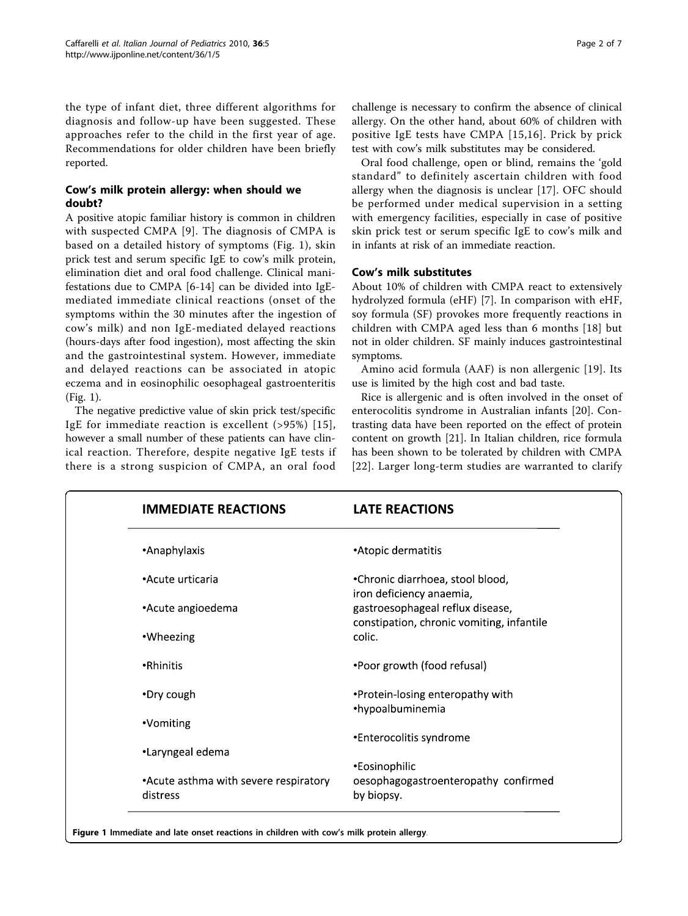the type of infant diet, three different algorithms for diagnosis and follow-up have been suggested. These approaches refer to the child in the first year of age. Recommendations for older children have been briefly reported.

## Cow's milk protein allergy: when should we doubt?

A positive atopic familiar history is common in children with suspected CMPA [[9\]](#page-5-0). The diagnosis of CMPA is based on a detailed history of symptoms (Fig. 1), skin prick test and serum specific IgE to cow's milk protein, elimination diet and oral food challenge. Clinical manifestations due to CMPA [\[6](#page-5-0)-[14\]](#page-5-0) can be divided into IgEmediated immediate clinical reactions (onset of the symptoms within the 30 minutes after the ingestion of cow's milk) and non IgE-mediated delayed reactions (hours-days after food ingestion), most affecting the skin and the gastrointestinal system. However, immediate and delayed reactions can be associated in atopic eczema and in eosinophilic oesophageal gastroenteritis (Fig. 1).

The negative predictive value of skin prick test/specific IgE for immediate reaction is excellent (>95%) [[15\]](#page-5-0), however a small number of these patients can have clinical reaction. Therefore, despite negative IgE tests if there is a strong suspicion of CMPA, an oral food

challenge is necessary to confirm the absence of clinical allergy. On the other hand, about 60% of children with positive IgE tests have CMPA [[15](#page-5-0),[16](#page-5-0)]. Prick by prick test with cow's milk substitutes may be considered.

Oral food challenge, open or blind, remains the 'gold standard" to definitely ascertain children with food allergy when the diagnosis is unclear [\[17](#page-5-0)]. OFC should be performed under medical supervision in a setting with emergency facilities, especially in case of positive skin prick test or serum specific IgE to cow's milk and in infants at risk of an immediate reaction.

## Cow's milk substitutes

About 10% of children with CMPA react to extensively hydrolyzed formula (eHF) [[7\]](#page-5-0). In comparison with eHF, soy formula (SF) provokes more frequently reactions in children with CMPA aged less than 6 months [[18\]](#page-6-0) but not in older children. SF mainly induces gastrointestinal symptoms.

Amino acid formula (AAF) is non allergenic [[19\]](#page-6-0). Its use is limited by the high cost and bad taste.

Rice is allergenic and is often involved in the onset of enterocolitis syndrome in Australian infants [\[20](#page-6-0)]. Contrasting data have been reported on the effect of protein content on growth [[21\]](#page-6-0). In Italian children, rice formula has been shown to be tolerated by children with CMPA [[22](#page-6-0)]. Larger long-term studies are warranted to clarify

| <b>IMMEDIATE REACTIONS</b>                        | <b>LATE REACTIONS</b>                                                         |
|---------------------------------------------------|-------------------------------------------------------------------------------|
| •Anaphylaxis                                      | •Atopic dermatitis                                                            |
| •Acute urticaria                                  | •Chronic diarrhoea, stool blood,<br>iron deficiency anaemia,                  |
| •Acute angioedema                                 | gastroesophageal reflux disease,<br>constipation, chronic vomiting, infantile |
| •Wheezing                                         | colic.                                                                        |
| •Rhinitis                                         | •Poor growth (food refusal)                                                   |
| •Dry cough                                        | •Protein-losing enteropathy with<br>•hypoalbuminemia                          |
| •Vomiting                                         |                                                                               |
| •Laryngeal edema                                  | •Enterocolitis syndrome                                                       |
|                                                   | •Eosinophilic                                                                 |
| •Acute asthma with severe respiratory<br>distress | oesophagogastroenteropathy confirmed<br>by biopsy.                            |

Figure 1 Immediate and late onset reactions in children with cow's milk protein allergy.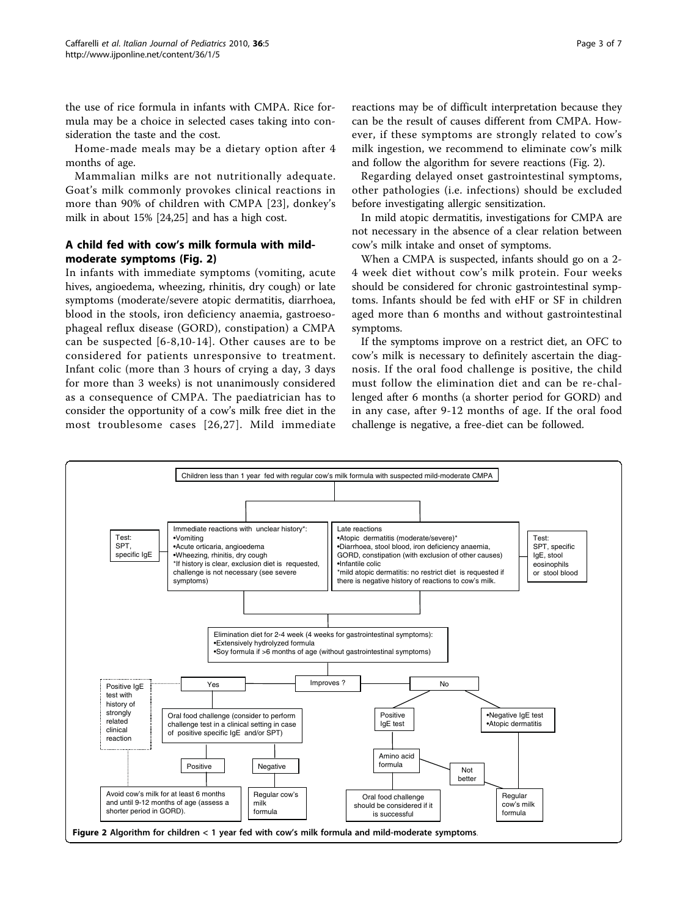the use of rice formula in infants with CMPA. Rice formula may be a choice in selected cases taking into consideration the taste and the cost.

Home-made meals may be a dietary option after 4 months of age.

Mammalian milks are not nutritionally adequate. Goat's milk commonly provokes clinical reactions in more than 90% of children with CMPA [\[23\]](#page-6-0), donkey's milk in about 15% [\[24,25](#page-6-0)] and has a high cost.

## A child fed with cow's milk formula with mildmoderate symptoms (Fig. 2)

In infants with immediate symptoms (vomiting, acute hives, angioedema, wheezing, rhinitis, dry cough) or late symptoms (moderate/severe atopic dermatitis, diarrhoea, blood in the stools, iron deficiency anaemia, gastroesophageal reflux disease (GORD), constipation) a CMPA can be suspected [[6](#page-5-0)-[8](#page-5-0),[10](#page-5-0)-[14\]](#page-5-0). Other causes are to be considered for patients unresponsive to treatment. Infant colic (more than 3 hours of crying a day, 3 days for more than 3 weeks) is not unanimously considered as a consequence of CMPA. The paediatrician has to consider the opportunity of a cow's milk free diet in the most troublesome cases [[26,27](#page-6-0)]. Mild immediate reactions may be of difficult interpretation because they can be the result of causes different from CMPA. However, if these symptoms are strongly related to cow's milk ingestion, we recommend to eliminate cow's milk and follow the algorithm for severe reactions (Fig. 2).

Regarding delayed onset gastrointestinal symptoms, other pathologies (i.e. infections) should be excluded before investigating allergic sensitization.

In mild atopic dermatitis, investigations for CMPA are not necessary in the absence of a clear relation between cow's milk intake and onset of symptoms.

When a CMPA is suspected, infants should go on a 2- 4 week diet without cow's milk protein. Four weeks should be considered for chronic gastrointestinal symptoms. Infants should be fed with eHF or SF in children aged more than 6 months and without gastrointestinal symptoms.

If the symptoms improve on a restrict diet, an OFC to cow's milk is necessary to definitely ascertain the diagnosis. If the oral food challenge is positive, the child must follow the elimination diet and can be re-challenged after 6 months (a shorter period for GORD) and in any case, after 9-12 months of age. If the oral food challenge is negative, a free-diet can be followed.

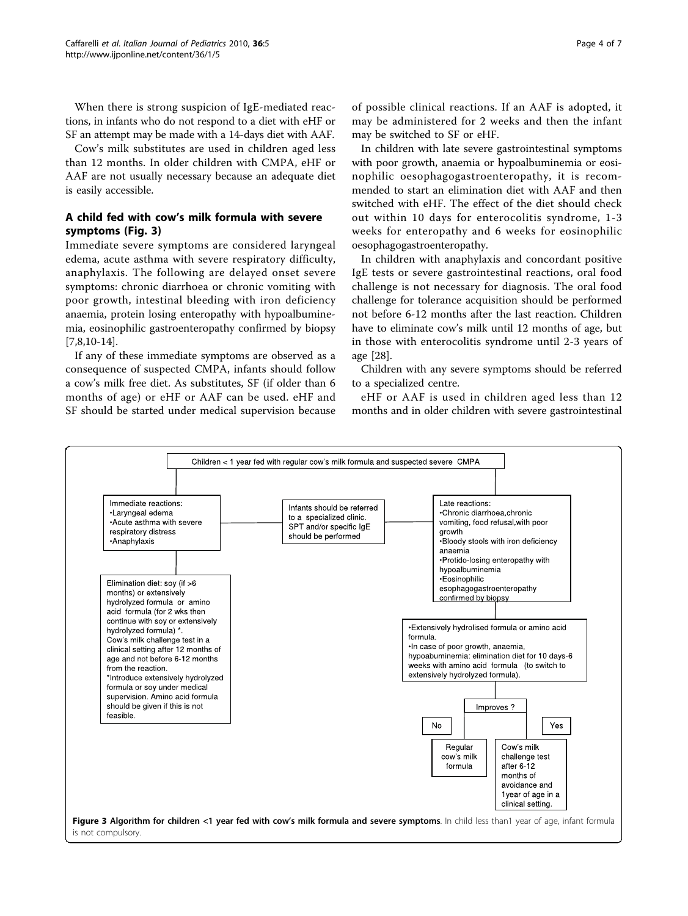When there is strong suspicion of IgE-mediated reactions, in infants who do not respond to a diet with eHF or SF an attempt may be made with a 14-days diet with AAF.

Cow's milk substitutes are used in children aged less than 12 months. In older children with CMPA, eHF or AAF are not usually necessary because an adequate diet is easily accessible.

## A child fed with cow's milk formula with severe symptoms (Fig. 3)

Immediate severe symptoms are considered laryngeal edema, acute asthma with severe respiratory difficulty, anaphylaxis. The following are delayed onset severe symptoms: chronic diarrhoea or chronic vomiting with poor growth, intestinal bleeding with iron deficiency anaemia, protein losing enteropathy with hypoalbuminemia, eosinophilic gastroenteropathy confirmed by biopsy [[7,8,10-14\]](#page-5-0).

If any of these immediate symptoms are observed as a consequence of suspected CMPA, infants should follow a cow's milk free diet. As substitutes, SF (if older than 6 months of age) or eHF or AAF can be used. eHF and SF should be started under medical supervision because of possible clinical reactions. If an AAF is adopted, it may be administered for 2 weeks and then the infant may be switched to SF or eHF.

In children with late severe gastrointestinal symptoms with poor growth, anaemia or hypoalbuminemia or eosinophilic oesophagogastroenteropathy, it is recommended to start an elimination diet with AAF and then switched with eHF. The effect of the diet should check out within 10 days for enterocolitis syndrome, 1-3 weeks for enteropathy and 6 weeks for eosinophilic oesophagogastroenteropathy.

In children with anaphylaxis and concordant positive IgE tests or severe gastrointestinal reactions, oral food challenge is not necessary for diagnosis. The oral food challenge for tolerance acquisition should be performed not before 6-12 months after the last reaction. Children have to eliminate cow's milk until 12 months of age, but in those with enterocolitis syndrome until 2-3 years of age [[28](#page-6-0)].

Children with any severe symptoms should be referred to a specialized centre.

eHF or AAF is used in children aged less than 12 months and in older children with severe gastrointestinal

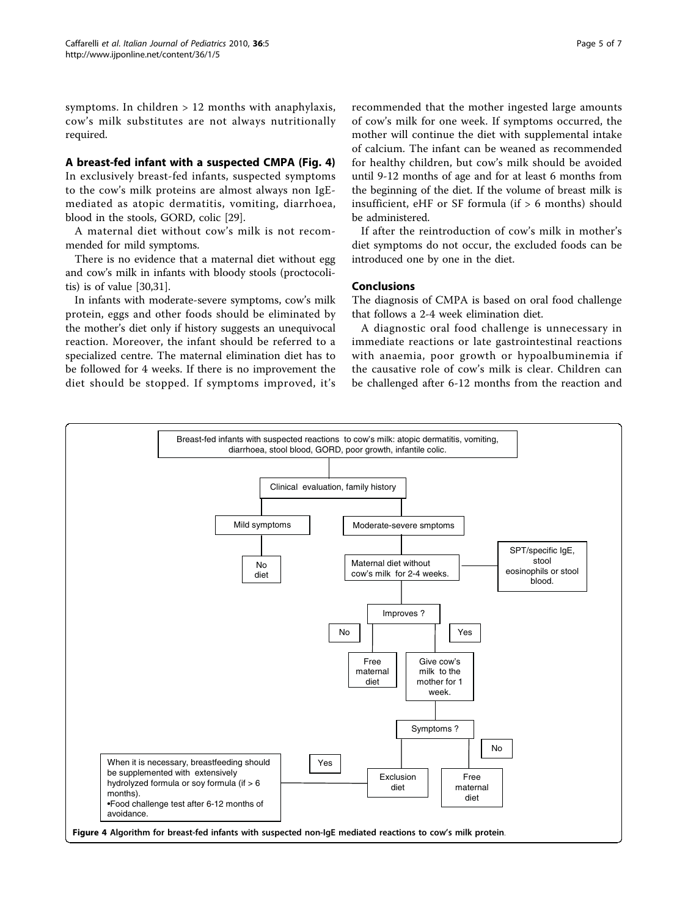symptoms. In children > 12 months with anaphylaxis, cow's milk substitutes are not always nutritionally required.

#### A breast-fed infant with a suspected CMPA (Fig. 4)

In exclusively breast-fed infants, suspected symptoms to the cow's milk proteins are almost always non IgEmediated as atopic dermatitis, vomiting, diarrhoea, blood in the stools, GORD, colic [[29](#page-6-0)].

A maternal diet without cow's milk is not recommended for mild symptoms.

There is no evidence that a maternal diet without egg and cow's milk in infants with bloody stools (proctocolitis) is of value [[30,31](#page-6-0)].

In infants with moderate-severe symptoms, cow's milk protein, eggs and other foods should be eliminated by the mother's diet only if history suggests an unequivocal reaction. Moreover, the infant should be referred to a specialized centre. The maternal elimination diet has to be followed for 4 weeks. If there is no improvement the diet should be stopped. If symptoms improved, it's

the beginning of the diet. If the volume of breast milk is insufficient, eHF or SF formula (if  $> 6$  months) should be administered.

If after the reintroduction of cow's milk in mother's diet symptoms do not occur, the excluded foods can be introduced one by one in the diet.

#### Conclusions

The diagnosis of CMPA is based on oral food challenge that follows a 2-4 week elimination diet.

A diagnostic oral food challenge is unnecessary in immediate reactions or late gastrointestinal reactions with anaemia, poor growth or hypoalbuminemia if the causative role of cow's milk is clear. Children can be challenged after 6-12 months from the reaction and

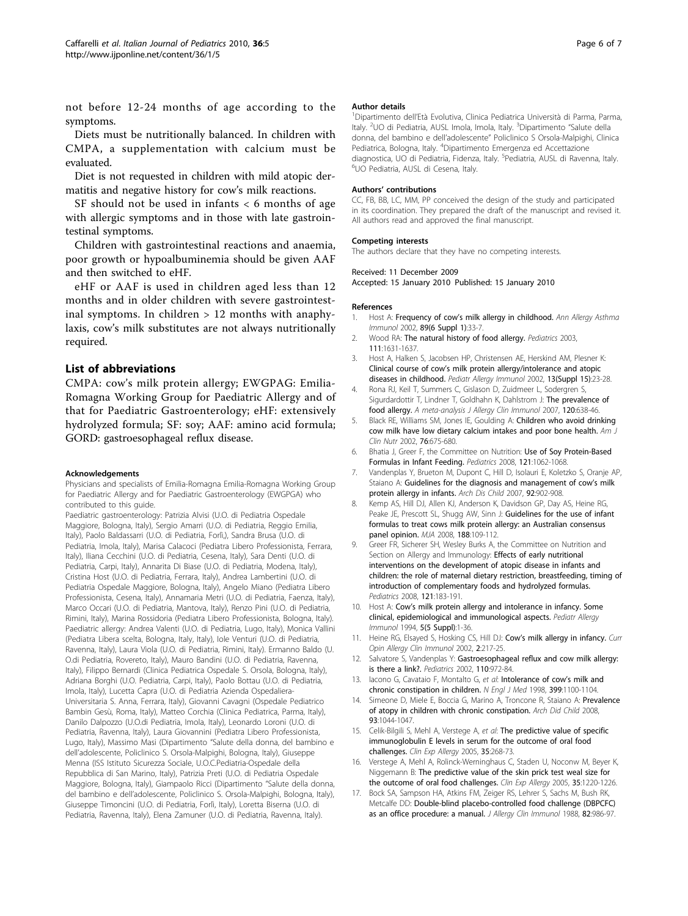<span id="page-5-0"></span>not before 12-24 months of age according to the symptoms.

Diets must be nutritionally balanced. In children with CMPA, a supplementation with calcium must be evaluated.

Diet is not requested in children with mild atopic dermatitis and negative history for cow's milk reactions.

SF should not be used in infants  $<$  6 months of age with allergic symptoms and in those with late gastrointestinal symptoms.

Children with gastrointestinal reactions and anaemia, poor growth or hypoalbuminemia should be given AAF and then switched to eHF.

eHF or AAF is used in children aged less than 12 months and in older children with severe gastrointestinal symptoms. In children  $> 12$  months with anaphylaxis, cow's milk substitutes are not always nutritionally required.

#### List of abbreviations

CMPA: cow's milk protein allergy; EWGPAG: Emilia-Romagna Working Group for Paediatric Allergy and of that for Paediatric Gastroenterology; eHF: extensively hydrolyzed formula; SF: soy; AAF: amino acid formula; GORD: gastroesophageal reflux disease.

#### Acknowledgements

Physicians and specialists of Emilia-Romagna Emilia-Romagna Working Group for Paediatric Allergy and for Paediatric Gastroenterology (EWGPGA) who contributed to this guide.

Paediatric gastroenterology: Patrizia Alvisi (U.O. di Pediatria Ospedale Maggiore, Bologna, Italy), Sergio Amarri (U.O. di Pediatria, Reggio Emilia, Italy), Paolo Baldassarri (U.O. di Pediatria, Forlì,), Sandra Brusa (U.O. di Pediatria, Imola, Italy), Marisa Calacoci (Pediatra Libero Professionista, Ferrara, Italy), Iliana Cecchini (U.O. di Pediatria, Cesena, Italy), Sara Denti (U.O. di Pediatria, Carpi, Italy), Annarita Di Biase (U.O. di Pediatria, Modena, Italy), Cristina Host (U.O. di Pediatria, Ferrara, Italy), Andrea Lambertini (U.O. di Pediatria Ospedale Maggiore, Bologna, Italy), Angelo Miano (Pediatra Libero Professionista, Cesena, Italy), Annamaria Metri (U.O. di Pediatria, Faenza, Italy), Marco Occari (U.O. di Pediatria, Mantova, Italy), Renzo Pini (U.O. di Pediatria, Rimini, Italy), Marina Rossidoria (Pediatra Libero Professionista, Bologna, Italy). Paediatric allergy: Andrea Valenti (U.O. di Pediatria, Lugo, Italy), Monica Vallini (Pediatra Libera scelta, Bologna, Italy, Italy), Iole Venturi (U.O. di Pediatria, Ravenna, Italy), Laura Viola (U.O. di Pediatria, Rimini, Italy). Ermanno Baldo (U. O.di Pediatria, Rovereto, Italy), Mauro Bandini (U.O. di Pediatria, Ravenna, Italy), Filippo Bernardi (Clinica Pediatrica Ospedale S. Orsola, Bologna, Italy), Adriana Borghi (U.O. Pediatria, Carpi, Italy), Paolo Bottau (U.O. di Pediatria, Imola, Italy), Lucetta Capra (U.O. di Pediatria Azienda Ospedaliera-Universitaria S. Anna, Ferrara, Italy), Giovanni Cavagni (Ospedale Pediatrico Bambin Gesù, Roma, Italy), Matteo Corchia (Clinica Pediatrica, Parma, Italy), Danilo Dalpozzo (U.O.di Pediatria, Imola, Italy), Leonardo Loroni (U.O. di Pediatria, Ravenna, Italy), Laura Giovannini (Pediatra Libero Professionista, Lugo, Italy), Massimo Masi (Dipartimento "Salute della donna, del bambino e dell'adolescente, Policlinico S. Orsola-Malpighi, Bologna, Italy), Giuseppe Menna (ISS Istituto Sicurezza Sociale, U.O.C.Pediatria-Ospedale della Repubblica di San Marino, Italy), Patrizia Preti (U.O. di Pediatria Ospedale Maggiore, Bologna, Italy), Giampaolo Ricci (Dipartimento "Salute della donna, del bambino e dell'adolescente, Policlinico S. Orsola-Malpighi, Bologna, Italy), Giuseppe Timoncini (U.O. di Pediatria, Forlì, Italy), Loretta Biserna (U.O. di Pediatria, Ravenna, Italy), Elena Zamuner (U.O. di Pediatria, Ravenna, Italy).

#### Author details

1 Dipartimento dell'Età Evolutiva, Clinica Pediatrica Università di Parma, Parma, Italy. <sup>2</sup>UO di Pediatria, AUSL Imola, Imola, Italy. <sup>3</sup>Dipartimento "Salute della donna, del bambino e dell'adolescente" Policlinico S Orsola-Malpighi, Clinica Pediatrica, Bologna, Italy. <sup>4</sup>Dipartimento Emergenza ed Accettazione diagnostica, UO di Pediatria, Fidenza, Italy. <sup>5</sup>Pediatria, AUSL di Ravenna, Italy.<br><sup>6</sup>LIO Pediatria, AUSL di Cesena, Italy. UO Pediatria, AUSL di Cesena, Italy.

#### Authors' contributions

CC, FB, BB, LC, MM, PP conceived the design of the study and participated in its coordination. They prepared the draft of the manuscript and revised it. All authors read and approved the final manuscript.

#### Competing interests

The authors declare that they have no competing interests.

#### Received: 11 December 2009

Accepted: 15 January 2010 Published: 15 January 2010

#### References

- 1. Host A: Frequency of cow'[s milk allergy in childhood.](http://www.ncbi.nlm.nih.gov/pubmed/12487202?dopt=Abstract) Ann Allergy Asthma Immunol 2002, 89(6 Suppl 1):33-7.
- 2. Wood RA: [The natural history of food allergy.](http://www.ncbi.nlm.nih.gov/pubmed/12777603?dopt=Abstract) Pediatrics 2003, 111:1631-1637.
- 3. Host A, Halken S, Jacobsen HP, Christensen AE, Herskind AM, Plesner K: Clinical course of cow'[s milk protein allergy/intolerance and atopic](http://www.ncbi.nlm.nih.gov/pubmed/12688620?dopt=Abstract) [diseases in childhood.](http://www.ncbi.nlm.nih.gov/pubmed/12688620?dopt=Abstract) Pediatr Allergy Immunol 2002, 13(Suppl 15):23-28.
- 4. Rona RJ, Keil T, Summers C, Gislason D, Zuidmeer L, Sodergren S, Sigurdardottir T, Lindner T, Goldhahn K, Dahlstrom J: The prevalence of food allergy. A meta-analysis J Allergy Clin Immunol 2007, 120:638-46.
- Black RE, Williams SM, Jones IE, Goulding A: [Children who avoid drinking](http://www.ncbi.nlm.nih.gov/pubmed/12198017?dopt=Abstract) [cow milk have low dietary calcium intakes and poor bone health.](http://www.ncbi.nlm.nih.gov/pubmed/12198017?dopt=Abstract) Am J Clin Nutr 2002, 76:675-680.
- 6. Bhatia J, Greer F, the Committee on Nutrition: [Use of Soy Protein-Based](http://www.ncbi.nlm.nih.gov/pubmed/18450914?dopt=Abstract) [Formulas in Infant Feeding.](http://www.ncbi.nlm.nih.gov/pubmed/18450914?dopt=Abstract) Pediatrics 2008, 121:1062-1068.
- 7. Vandenplas Y, Brueton M, Dupont C, Hill D, Isolauri E, Koletzko S, Oranje AP, Staiano A: [Guidelines for the diagnosis and management of cow](http://www.ncbi.nlm.nih.gov/pubmed/17895338?dopt=Abstract)'s milk [protein allergy in infants.](http://www.ncbi.nlm.nih.gov/pubmed/17895338?dopt=Abstract) Arch Dis Child 2007, 92:902-908.
- 8. Kemp AS, Hill DJ, Allen KJ, Anderson K, Davidson GP, Day AS, Heine RG, Peake JE, Prescott SL, Shugg AW, Sinn J: [Guidelines for the use of infant](http://www.ncbi.nlm.nih.gov/pubmed/18205586?dopt=Abstract) [formulas to treat cows milk protein allergy: an Australian consensus](http://www.ncbi.nlm.nih.gov/pubmed/18205586?dopt=Abstract) [panel opinion.](http://www.ncbi.nlm.nih.gov/pubmed/18205586?dopt=Abstract) MJA 2008, 188:109-112.
- 9. Greer FR, Sicherer SH, Wesley Burks A, the Committee on Nutrition and Section on Allergy and Immunology: [Effects of early nutritional](http://www.ncbi.nlm.nih.gov/pubmed/18166574?dopt=Abstract) [interventions on the development of atopic disease in infants and](http://www.ncbi.nlm.nih.gov/pubmed/18166574?dopt=Abstract) [children: the role of maternal dietary restriction, breastfeeding, timing of](http://www.ncbi.nlm.nih.gov/pubmed/18166574?dopt=Abstract) [introduction of complementary foods and hydrolyzed formulas.](http://www.ncbi.nlm.nih.gov/pubmed/18166574?dopt=Abstract) Pediatrics 2008, 121:183-191.
- 10. Host A: Cow'[s milk protein allergy and intolerance in infancy. Some](http://www.ncbi.nlm.nih.gov/pubmed/7704117?dopt=Abstract) [clinical, epidemiological and immunological aspects.](http://www.ncbi.nlm.nih.gov/pubmed/7704117?dopt=Abstract) Pediatr Allergy Immunol 1994, 5(5 Suppl):1-36.
- 11. Heine RG, Elsayed S, Hosking CS, Hill DJ: Cow'[s milk allergy in infancy.](http://www.ncbi.nlm.nih.gov/pubmed/12045418?dopt=Abstract) Curr Opin Allergy Clin Immunol 2002, 2:217-25.
- 12. Salvatore S, Vandenplas Y: [Gastroesophageal reflux and cow milk allergy:](http://www.ncbi.nlm.nih.gov/pubmed/12415039?dopt=Abstract) [is there a link?.](http://www.ncbi.nlm.nih.gov/pubmed/12415039?dopt=Abstract) Pediatrics 2002, 110:972-84.
- 13. Iacono G, Cavataio F, Montalto G, et al: Intolerance of cow's milk and chronic constipation in children. N Engl J Med 1998, 399:1100-1104.
- 14. Simeone D, Miele E, Boccia G, Marino A, Troncone R, Staiano A: Prevalence of atopy in children with chronic constipation. Arch Did Child 2008, 93:1044-1047.
- 15. Celik-Bilgili S, Mehl A, Verstege A, et al: [The predictive value of specific](http://www.ncbi.nlm.nih.gov/pubmed/15784102?dopt=Abstract) [immunoglobulin E levels in serum for the outcome of oral food](http://www.ncbi.nlm.nih.gov/pubmed/15784102?dopt=Abstract) [challenges.](http://www.ncbi.nlm.nih.gov/pubmed/15784102?dopt=Abstract) Clin Exp Allergy 2005, 35:268-73.
- 16. Verstege A, Mehl A, Rolinck-Werninghaus C, Staden U, Noconw M, Beyer K, Niggemann B: [The predictive value of the skin prick test weal size for](http://www.ncbi.nlm.nih.gov/pubmed/16164451?dopt=Abstract) [the outcome of oral food challenges.](http://www.ncbi.nlm.nih.gov/pubmed/16164451?dopt=Abstract) Clin Exp Allergy 2005, 35:1220-1226.
- 17. Bock SA, Sampson HA, Atkins FM, Zeiger RS, Lehrer S, Sachs M, Bush RK, Metcalfe DD: [Double-blind placebo-controlled food challenge \(DBPCFC\)](http://www.ncbi.nlm.nih.gov/pubmed/3060514?dopt=Abstract) [as an office procedure: a manual.](http://www.ncbi.nlm.nih.gov/pubmed/3060514?dopt=Abstract) J Allergy Clin Immunol 1988, 82:986-97.